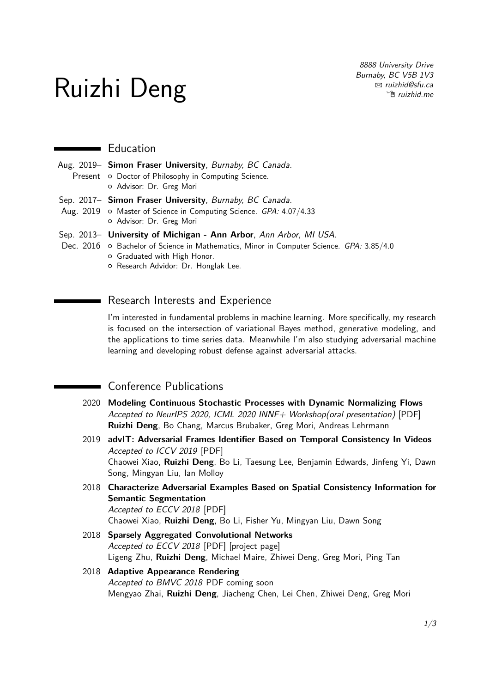# Ruizhi Deng

8888 University Drive Burnaby, BC V5B 1V3 B [ruizhid@sfu.ca](mailto:ruizhid@sfu.ca)  $\mathcal{F}$  [ruizhid.me](http://ruizhid.me)

#### **Education**

- Aug. 2019– **Simon Fraser University**, Burnaby, BC Canada. Present o Doctor of Philosophy in Computing Science. { Advisor: [Dr. Greg Mori](https://www.cs.sfu.ca/~mori/) Sep. 2017– **Simon Fraser University**, Burnaby, BC Canada.
- Aug. 2019 o Master of Science in Computing Science. GPA: 4.07/4.33 { Advisor: [Dr. Greg Mori](https://www.cs.sfu.ca/~mori/)
- Sep. 2013– **University of Michigan Ann Arbor**, Ann Arbor, MI USA.
- Dec. 2016 o Bachelor of Science in Mathematics, Minor in Computer Science. GPA: 3.85/4.0
	- { Graduated with High Honor.
		- { Research Advidor: [Dr. Honglak Lee.](http://web.eecs.umich.edu/~honglak/)

### Research Interests and Experience

I'm interested in fundamental problems in machine learning. More specifically, my research is focused on the intersection of variational Bayes method, generative modeling, and the applications to time series data. Meanwhile I'm also studying adversarial machine learning and developing robust defense against adversarial attacks.

# **Conference Publications**

- 2020 **Modeling Continuous Stochastic Processes with Dynamic Normalizing Flows** Accepted to NeurIPS 2020, ICML 2020 INNF+ Workshop(oral presentation) [\[PDF\]](https://arxiv.org/pdf/2002.10501.pdf) **Ruizhi Deng**, Bo Chang, Marcus Brubaker, Greg Mori, Andreas Lehrmann
- 2019 **advIT: Adversarial Frames Identifier Based on Temporal Consistency In Videos** Accepted to ICCV 2019 [\[PDF\]](http://openaccess.thecvf.com/content_ICCV_2019/papers/Xiao_AdvIT_Adversarial_Frames_Identifier_Based_on_Temporal_Consistency_in_Videos_ICCV_2019_paper.pdf) Chaowei Xiao, **Ruizhi Deng**, Bo Li, Taesung Lee, Benjamin Edwards, Jinfeng Yi, Dawn Song, Mingyan Liu, Ian Molloy
- 2018 **Characterize Adversarial Examples Based on Spatial Consistency Information for Semantic Segmentation** Accepted to ECCV 2018 [\[PDF\]](https://arxiv.org/abs/1810.05162) Chaowei Xiao, **Ruizhi Deng**, Bo Li, Fisher Yu, Mingyan Liu, Dawn Song
- 2018 **Sparsely Aggregated Convolutional Networks** Accepted to ECCV 2018 [\[PDF\]](https://arxiv.org/abs/1801.05895) [\[project page\]](https://github.com/lyken17/sparsenet) Ligeng Zhu, **Ruizhi Deng**, Michael Maire, Zhiwei Deng, Greg Mori, Ping Tan

#### 2018 **Adaptive Appearance Rendering** Accepted to BMVC 2018 PDF coming soon Mengyao Zhai, **Ruizhi Deng**, Jiacheng Chen, Lei Chen, Zhiwei Deng, Greg Mori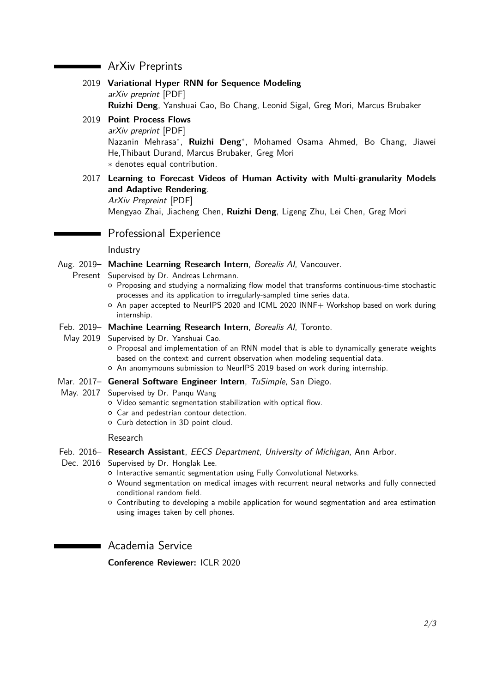## ArXiv Preprints

- 2019 **Variational Hyper RNN for Sequence Modeling** arXiv preprint [\[PDF\]](https://arxiv.org/pdf/2002.10501.pdf) **Ruizhi Deng**, Yanshuai Cao, Bo Chang, Leonid Sigal, Greg Mori, Marcus Brubaker
- 2019 **Point Process Flows**
	- arXiv preprint [\[PDF\]](https://arxiv.org/pdf/1910.08281.pdf)

Nazanin Mehrasa<sup>∗</sup> , **Ruizhi Deng**<sup>∗</sup> , Mohamed Osama Ahmed, Bo Chang, Jiawei He,Thibaut Durand, Marcus Brubaker, Greg Mori ∗ denotes equal contribution.

2017 **Learning to Forecast Videos of Human Activity with Multi-granularity Models and Adaptive Rendering**.

ArXiv Prepreint [\[PDF\]](https://arxiv.org/abs/1712.01955) Mengyao Zhai, Jiacheng Chen, **Ruizhi Deng**, Ligeng Zhu, Lei Chen, Greg Mori

#### Professional Experience

#### Industry

#### Aug. 2019- Machine Learning Research Intern, Borealis Al, Vancouver.

Present Supervised by [Dr. Andreas Lehrmann.](https://www.borealisai.com/en/about/team/andreas-lehrmann/)

- { Proposing and studying a normalizing flow model that transforms continuous-time stochastic processes and its application to irregularly-sampled time series data.
- { An paper accepted to NeurIPS 2020 and ICML 2020 INNF+ Workshop based on work during internship.

#### Feb. 2019– **Machine Learning Research Intern**, Borealis AI, Toronto.

- May 2019 Supervised by [Dr. Yanshuai Cao.](https://www.borealisai.com/en/team/yanshuai-cao/)
	- { Proposal and implementation of an RNN model that is able to dynamically generate weights based on the context and current observation when modeling sequential data.
	- $\circ$  An anomymouns submission to NeurIPS 2019 based on work during internship.
- Mar. 2017– **General Software Engineer Intern**, TuSimple, San Diego.
- May. 2017 Supervised by [Dr. Panqu Wang](http://acsweb.ucsd.edu/~pawang/homepage_PhD/)
	- { Video semantic segmentation stabilization with optical flow.
	- $\circ$  Car and pedestrian contour detection.
	- { Curb detection in 3D point cloud.

#### Research

- Feb. 2016– **Research Assistant**, EECS Department, University of Michigan, Ann Arbor.
- Dec. 2016 Supervised by [Dr. Honglak Lee.](http://web.eecs.umich.edu/~honglak/)
	- $\circ$  Interactive semantic segmentation using Fully Convolutional Networks.
		- { Wound segmentation on medical images with recurrent neural networks and fully connected conditional random field.
		- { Contributing to developing a mobile application for wound segmentation and area estimation using images taken by cell phones.

Academia Service

**Conference Reviewer:** ICLR 2020